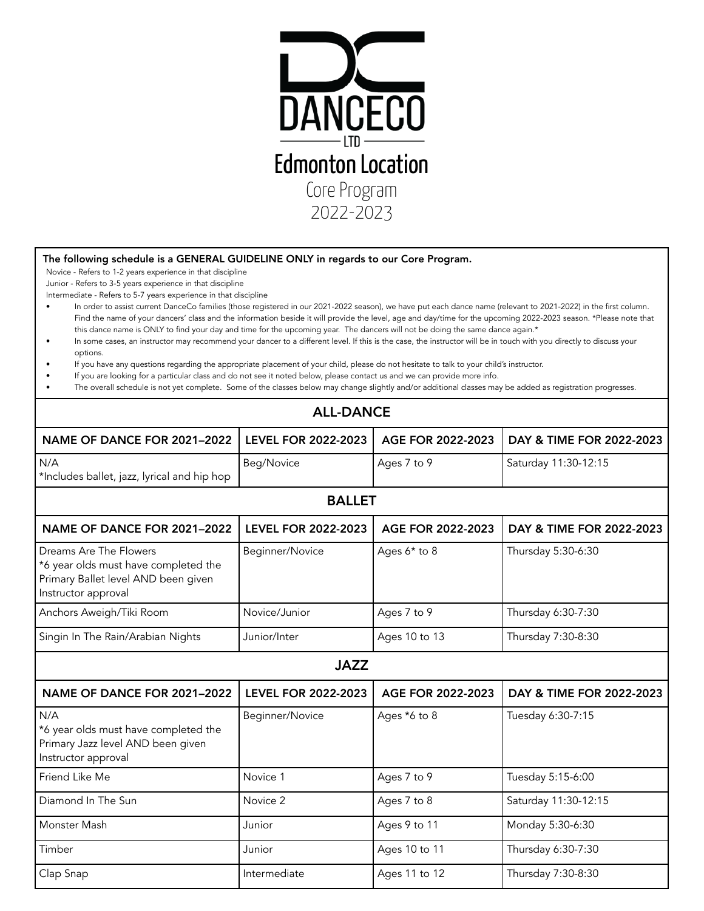

## The following schedule is a GENERAL GUIDELINE ONLY in regards to our Core Program.

Novice - Refers to 1-2 years experience in that discipline

Junior - Refers to 3-5 years experience in that discipline

Intermediate - Refers to 5-7 years experience in that discipline

- In order to assist current DanceCo families (those registered in our 2021-2022 season), we have put each dance name (relevant to 2021-2022) in the first column. Find the name of your dancers' class and the information beside it will provide the level, age and day/time for the upcoming 2022-2023 season. \*Please note that this dance name is ONLY to find your day and time for the upcoming year. The dancers will not be doing the same dance again.\*
- In some cases, an instructor may recommend your dancer to a different level. If this is the case, the instructor will be in touch with you directly to discuss your options.
- If you have any questions regarding the appropriate placement of your child, please do not hesitate to talk to your child's instructor.
- If you are looking for a particular class and do not see it noted below, please contact us and we can provide more info.
- The overall schedule is not yet complete. Some of the classes below may change slightly and/or additional classes may be added as registration progresses.

## ALL-DANCE

| NAME OF DANCE FOR 2021-2022                                                                                                  | <b>LEVEL FOR 2022-2023</b> | AGE FOR 2022-2023 | DAY & TIME FOR 2022-2023 |  |  |  |
|------------------------------------------------------------------------------------------------------------------------------|----------------------------|-------------------|--------------------------|--|--|--|
| N/A<br>*Includes ballet, jazz, lyrical and hip hop                                                                           | Beg/Novice                 | Ages 7 to 9       | Saturday 11:30-12:15     |  |  |  |
| <b>BALLET</b>                                                                                                                |                            |                   |                          |  |  |  |
| NAME OF DANCE FOR 2021-2022                                                                                                  | <b>LEVEL FOR 2022-2023</b> | AGE FOR 2022-2023 | DAY & TIME FOR 2022-2023 |  |  |  |
| Dreams Are The Flowers<br>*6 year olds must have completed the<br>Primary Ballet level AND been given<br>Instructor approval | Beginner/Novice            | Ages 6* to 8      | Thursday 5:30-6:30       |  |  |  |
| Anchors Aweigh/Tiki Room                                                                                                     | Novice/Junior              | Ages 7 to 9       | Thursday 6:30-7:30       |  |  |  |
| Singin In The Rain/Arabian Nights                                                                                            | Junior/Inter               | Ages 10 to 13     | Thursday 7:30-8:30       |  |  |  |
| <b>JAZZ</b>                                                                                                                  |                            |                   |                          |  |  |  |
| NAME OF DANCE FOR 2021-2022                                                                                                  | <b>LEVEL FOR 2022-2023</b> | AGE FOR 2022-2023 | DAY & TIME FOR 2022-2023 |  |  |  |
| N/A<br>*6 year olds must have completed the<br>Primary Jazz level AND been given<br>Instructor approval                      | Beginner/Novice            | Ages *6 to 8      | Tuesday 6:30-7:15        |  |  |  |
| Friend Like Me                                                                                                               | Novice 1                   | Ages 7 to 9       | Tuesday 5:15-6:00        |  |  |  |
| Diamond In The Sun                                                                                                           | Novice 2                   | Ages 7 to 8       | Saturday 11:30-12:15     |  |  |  |
| Monster Mash                                                                                                                 | Junior                     | Ages 9 to 11      | Monday 5:30-6:30         |  |  |  |
| Timber                                                                                                                       | Junior                     | Ages 10 to 11     | Thursday 6:30-7:30       |  |  |  |
| Clap Snap                                                                                                                    | Intermediate               | Ages 11 to 12     | Thursday 7:30-8:30       |  |  |  |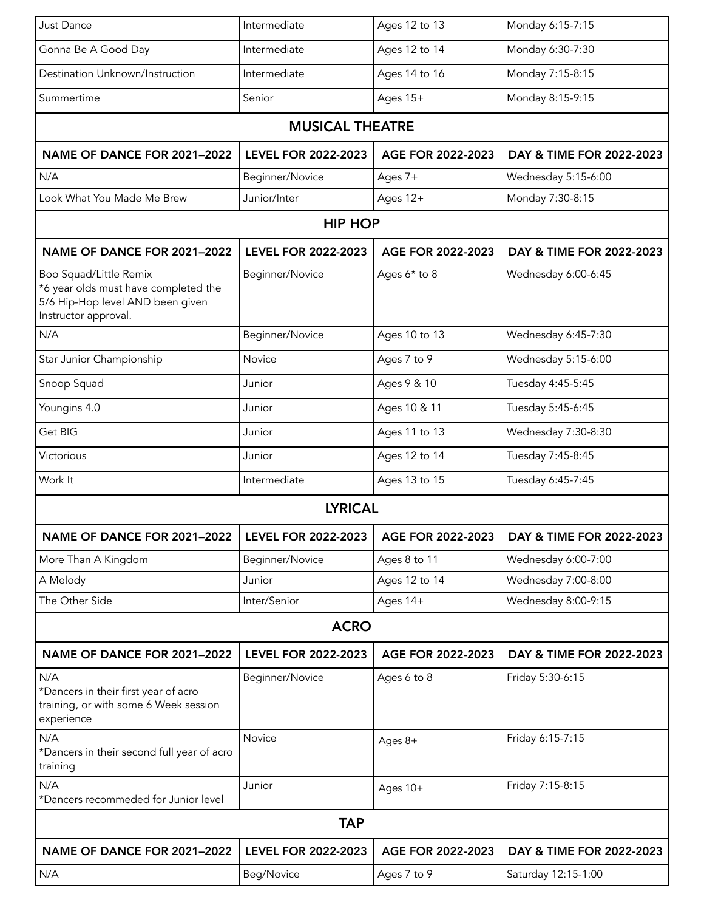| Just Dance                                                                                                                 | Intermediate               | Ages 12 to 13     | Monday 6:15-7:15         |  |  |
|----------------------------------------------------------------------------------------------------------------------------|----------------------------|-------------------|--------------------------|--|--|
| Gonna Be A Good Day                                                                                                        | Intermediate               | Ages 12 to 14     | Monday 6:30-7:30         |  |  |
| Destination Unknown/Instruction                                                                                            | Intermediate               | Ages 14 to 16     | Monday 7:15-8:15         |  |  |
| Summertime                                                                                                                 | Senior                     | Ages 15+          | Monday 8:15-9:15         |  |  |
|                                                                                                                            |                            |                   |                          |  |  |
| <b>MUSICAL THEATRE</b>                                                                                                     |                            |                   |                          |  |  |
| NAME OF DANCE FOR 2021-2022                                                                                                | <b>LEVEL FOR 2022-2023</b> | AGE FOR 2022-2023 | DAY & TIME FOR 2022-2023 |  |  |
| N/A                                                                                                                        | Beginner/Novice            | Ages 7+           | Wednesday 5:15-6:00      |  |  |
| Look What You Made Me Brew                                                                                                 | Junior/Inter               | Ages 12+          | Monday 7:30-8:15         |  |  |
| <b>HIP HOP</b>                                                                                                             |                            |                   |                          |  |  |
| NAME OF DANCE FOR 2021-2022                                                                                                | <b>LEVEL FOR 2022-2023</b> | AGE FOR 2022-2023 | DAY & TIME FOR 2022-2023 |  |  |
| Boo Squad/Little Remix<br>*6 year olds must have completed the<br>5/6 Hip-Hop level AND been given<br>Instructor approval. | Beginner/Novice            | Ages 6* to 8      | Wednesday 6:00-6:45      |  |  |
| N/A                                                                                                                        | Beginner/Novice            | Ages 10 to 13     | Wednesday 6:45-7:30      |  |  |
| Star Junior Championship                                                                                                   | Novice                     | Ages 7 to 9       | Wednesday 5:15-6:00      |  |  |
| Snoop Squad                                                                                                                | Junior                     | Ages 9 & 10       | Tuesday 4:45-5:45        |  |  |
| Youngins 4.0                                                                                                               | Junior                     | Ages 10 & 11      | Tuesday 5:45-6:45        |  |  |
| Get BIG                                                                                                                    | Junior                     | Ages 11 to 13     | Wednesday 7:30-8:30      |  |  |
| Victorious                                                                                                                 | Junior                     | Ages 12 to 14     | Tuesday 7:45-8:45        |  |  |
| Work It                                                                                                                    | Intermediate               | Ages 13 to 15     | Tuesday 6:45-7:45        |  |  |
|                                                                                                                            | <b>LYRICAL</b>             |                   |                          |  |  |
| NAME OF DANCE FOR 2021-2022                                                                                                | <b>LEVEL FOR 2022-2023</b> | AGE FOR 2022-2023 | DAY & TIME FOR 2022-2023 |  |  |
| More Than A Kingdom                                                                                                        | Beginner/Novice            | Ages 8 to 11      | Wednesday 6:00-7:00      |  |  |
| A Melody                                                                                                                   | Junior                     | Ages 12 to 14     | Wednesday 7:00-8:00      |  |  |
| The Other Side                                                                                                             | Inter/Senior               | Ages 14+          | Wednesday 8:00-9:15      |  |  |
| <b>ACRO</b>                                                                                                                |                            |                   |                          |  |  |
| NAME OF DANCE FOR 2021-2022                                                                                                | <b>LEVEL FOR 2022-2023</b> | AGE FOR 2022-2023 | DAY & TIME FOR 2022-2023 |  |  |
| N/A<br>*Dancers in their first year of acro<br>training, or with some 6 Week session<br>experience                         | Beginner/Novice            | Ages 6 to 8       | Friday 5:30-6:15         |  |  |
| N/A<br>*Dancers in their second full year of acro<br>training                                                              | Novice                     | Ages 8+           | Friday 6:15-7:15         |  |  |
| N/A<br>*Dancers recommeded for Junior level                                                                                | Junior                     | Ages 10+          | Friday 7:15-8:15         |  |  |
| <b>TAP</b>                                                                                                                 |                            |                   |                          |  |  |
| NAME OF DANCE FOR 2021-2022                                                                                                | <b>LEVEL FOR 2022-2023</b> | AGE FOR 2022-2023 | DAY & TIME FOR 2022-2023 |  |  |
| N/A                                                                                                                        | Beg/Novice                 | Ages 7 to 9       | Saturday 12:15-1:00      |  |  |